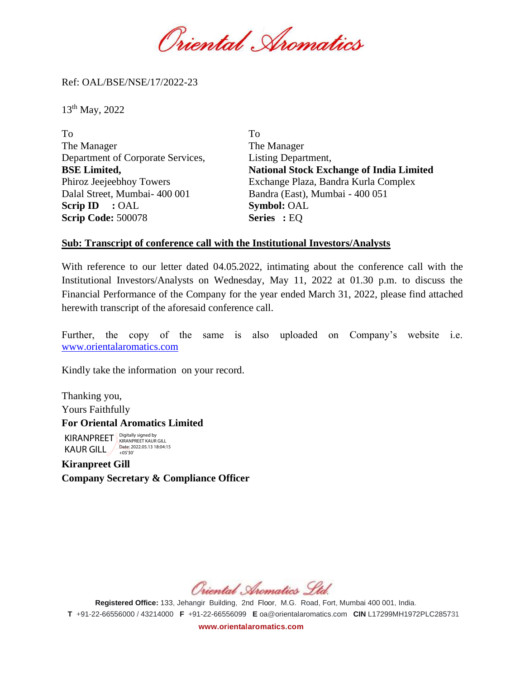Oriental Spomatics

Ref: OAL/BSE/NSE/17/2022-23

13th May, 2022

| To                                | To                                              |
|-----------------------------------|-------------------------------------------------|
| The Manager                       | The Manager                                     |
| Department of Corporate Services, | Listing Department,                             |
| <b>BSE Limited,</b>               | <b>National Stock Exchange of India Limited</b> |
| Phiroz Jeejeebhoy Towers          | Exchange Plaza, Bandra Kurla Complex            |
| Dalal Street, Mumbai- 400 001     | Bandra (East), Mumbai - 400 051                 |
| Scrip ID $:$ OAL                  | <b>Symbol: OAL</b>                              |
| <b>Scrip Code: 500078</b>         | <b>Series</b> : EQ                              |

## **Sub: Transcript of conference call with the Institutional Investors/Analysts**

With reference to our letter dated 04.05.2022, intimating about the conference call with the Institutional Investors/Analysts on Wednesday, May 11, 2022 at 01.30 p.m. to discuss the Financial Performance of the Company for the year ended March 31, 2022, please find attached herewith transcript of the aforesaid conference call.

Further, the copy of the same is also uploaded on Company's website i.e. [www.orientalaromatics.com](http://www.orientalaromatics.com/)

Kindly take the information on your record.

Thanking you, Yours Faithfully **For Oriental Aromatics Limited** KIRANPREET Rigitally signed by KAUR GILL 2022.05.13 18:04:15

**Kiranpreet Gill Company Secretary & Compliance Officer**

Oriental Aromatics Ltd.

**Registered Office:** 133, Jehangir Building, 2nd Floor, M.G. Road, Fort, Mumbai 400 001, India. **T** +91-22-66556000 / 43214000 **F** +91-22-66556099 **E** [oa@orientalaromatics.com](mailto:oa@orlentalaromatics.com) **CIN** L17299MH1972PLC285731 **[www.orientalaromatics.com](http://www.orlentalaromatlcs.com/)**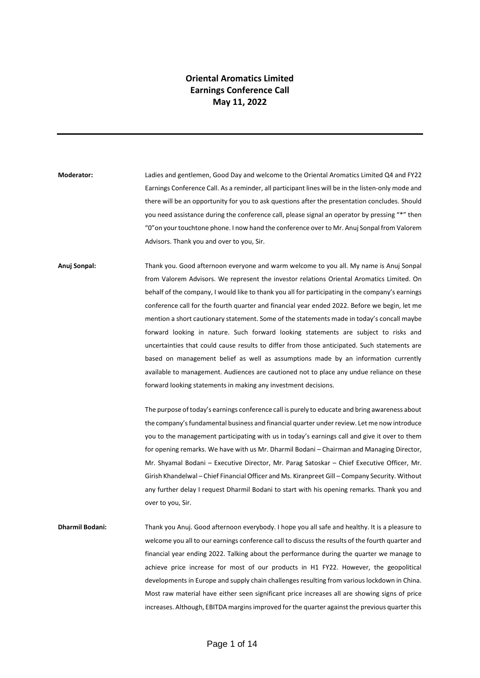## **Oriental Aromatics Limited Earnings Conference Call May 11, 2022**

**Moderator:** Ladies and gentlemen, Good Day and welcome to the Oriental Aromatics Limited Q4 and FY22 Earnings Conference Call. As a reminder, all participant lines will be in the listen-only mode and there will be an opportunity for you to ask questions after the presentation concludes. Should you need assistance during the conference call, please signal an operator by pressing "\*" then "0"on your touchtone phone. I now hand the conference over to Mr. Anuj Sonpal from Valorem Advisors. Thank you and over to you, Sir.

**Anuj Sonpal:** Thank you. Good afternoon everyone and warm welcome to you all. My name is Anuj Sonpal from Valorem Advisors. We represent the investor relations Oriental Aromatics Limited. On behalf of the company, I would like to thank you all for participating in the company's earnings conference call for the fourth quarter and financial year ended 2022. Before we begin, let me mention a short cautionary statement. Some of the statements made in today's concall maybe forward looking in nature. Such forward looking statements are subject to risks and uncertainties that could cause results to differ from those anticipated. Such statements are based on management belief as well as assumptions made by an information currently available to management. Audiences are cautioned not to place any undue reliance on these forward looking statements in making any investment decisions.

> The purpose of today's earnings conference call is purely to educate and bring awareness about the company's fundamental business and financial quarter under review. Let me now introduce you to the management participating with us in today's earnings call and give it over to them for opening remarks. We have with us Mr. Dharmil Bodani – Chairman and Managing Director, Mr. Shyamal Bodani – Executive Director, Mr. Parag Satoskar – Chief Executive Officer, Mr. Girish Khandelwal – Chief Financial Officer and Ms. Kiranpreet Gill – Company Security. Without any further delay I request Dharmil Bodani to start with his opening remarks. Thank you and over to you, Sir.

**Dharmil Bodani:** Thank you Anuj. Good afternoon everybody. I hope you all safe and healthy. It is a pleasure to welcome you all to our earnings conference call to discuss the results of the fourth quarter and financial year ending 2022. Talking about the performance during the quarter we manage to achieve price increase for most of our products in H1 FY22. However, the geopolitical developments in Europe and supply chain challenges resulting from various lockdown in China. Most raw material have either seen significant price increases all are showing signs of price increases. Although, EBITDA margins improved for the quarter against the previous quarter this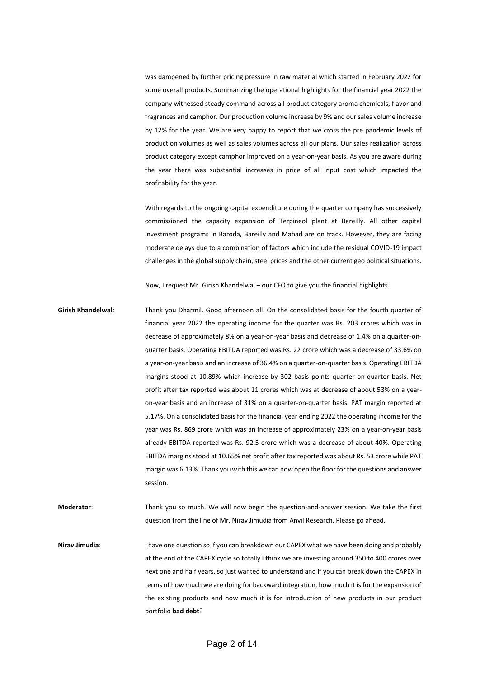was dampened by further pricing pressure in raw material which started in February 2022 for some overall products. Summarizing the operational highlights for the financial year 2022 the company witnessed steady command across all product category aroma chemicals, flavor and fragrances and camphor. Our production volume increase by 9% and our sales volume increase by 12% for the year. We are very happy to report that we cross the pre pandemic levels of production volumes as well as sales volumes across all our plans. Our sales realization across product category except camphor improved on a year-on-year basis. As you are aware during the year there was substantial increases in price of all input cost which impacted the profitability for the year.

With regards to the ongoing capital expenditure during the quarter company has successively commissioned the capacity expansion of Terpineol plant at Bareilly. All other capital investment programs in Baroda, Bareilly and Mahad are on track. However, they are facing moderate delays due to a combination of factors which include the residual COVID-19 impact challenges in the global supply chain, steel prices and the other current geo political situations.

Now, I request Mr. Girish Khandelwal – our CFO to give you the financial highlights.

**Girish Khandelwal**: Thank you Dharmil. Good afternoon all. On the consolidated basis for the fourth quarter of financial year 2022 the operating income for the quarter was Rs. 203 crores which was in decrease of approximately 8% on a year-on-year basis and decrease of 1.4% on a quarter-onquarter basis. Operating EBITDA reported was Rs. 22 crore which was a decrease of 33.6% on a year-on-year basis and an increase of 36.4% on a quarter-on-quarter basis. Operating EBITDA margins stood at 10.89% which increase by 302 basis points quarter-on-quarter basis. Net profit after tax reported was about 11 crores which was at decrease of about 53% on a yearon-year basis and an increase of 31% on a quarter-on-quarter basis. PAT margin reported at 5.17%. On a consolidated basis for the financial year ending 2022 the operating income for the year was Rs. 869 crore which was an increase of approximately 23% on a year-on-year basis already EBITDA reported was Rs. 92.5 crore which was a decrease of about 40%. Operating EBITDA margins stood at 10.65% net profit after tax reported was about Rs. 53 crore while PAT margin was 6.13%. Thank you with this we can now open the floor for the questions and answer session.

**Moderator**: Thank you so much. We will now begin the question-and-answer session. We take the first question from the line of Mr. Nirav Jimudia from Anvil Research. Please go ahead.

**Nirav Jimudia:** I have one question so if you can breakdown our CAPEX what we have been doing and probably at the end of the CAPEX cycle so totally I think we are investing around 350 to 400 crores over next one and half years, so just wanted to understand and if you can break down the CAPEX in terms of how much we are doing for backward integration, how much it is for the expansion of the existing products and how much it is for introduction of new products in our product portfolio **bad debt**?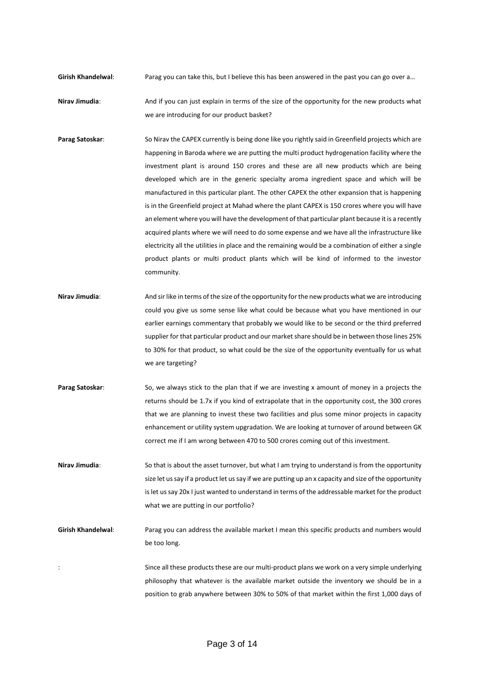- **Girish Khandelwal:** Parag you can take this, but I believe this has been answered in the past you can go over a...
- **Nirav Jimudia**: And if you can just explain in terms of the size of the opportunity for the new products what we are introducing for our product basket?
- **Parag Satoskar**: So Nirav the CAPEX currently is being done like you rightly said in Greenfield projects which are happening in Baroda where we are putting the multi product hydrogenation facility where the investment plant is around 150 crores and these are all new products which are being developed which are in the generic specialty aroma ingredient space and which will be manufactured in this particular plant. The other CAPEX the other expansion that is happening is in the Greenfield project at Mahad where the plant CAPEX is 150 crores where you will have an element where you will have the development of that particular plant because it is a recently acquired plants where we will need to do some expense and we have all the infrastructure like electricity all the utilities in place and the remaining would be a combination of either a single product plants or multi product plants which will be kind of informed to the investor community.
- **Nirav Jimudia**: And sir like in terms of the size of the opportunity for the new products what we are introducing could you give us some sense like what could be because what you have mentioned in our earlier earnings commentary that probably we would like to be second or the third preferred supplier for that particular product and our market share should be in between those lines 25% to 30% for that product, so what could be the size of the opportunity eventually for us what we are targeting?
- **Parag Satoskar:** So, we always stick to the plan that if we are investing x amount of money in a projects the returns should be 1.7x if you kind of extrapolate that in the opportunity cost, the 300 crores that we are planning to invest these two facilities and plus some minor projects in capacity enhancement or utility system upgradation. We are looking at turnover of around between GK correct me if I am wrong between 470 to 500 crores coming out of this investment.
- **Nirav Jimudia**: So that is about the asset turnover, but what I am trying to understand is from the opportunity size let us say if a product let us say if we are putting up an x capacity and size of the opportunity is let us say 20x I just wanted to understand in terms of the addressable market for the product what we are putting in our portfolio?
- **Girish Khandelwal:** Parag you can address the available market I mean this specific products and numbers would be too long.
- : Since all these products these are our multi-product plans we work on a very simple underlying philosophy that whatever is the available market outside the inventory we should be in a position to grab anywhere between 30% to 50% of that market within the first 1,000 days of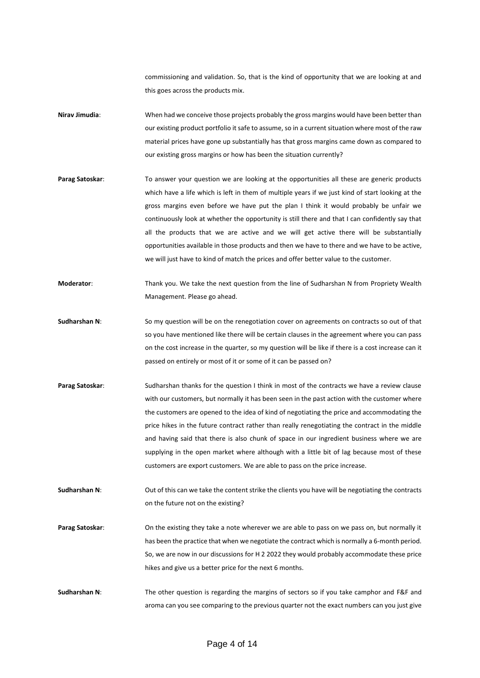commissioning and validation. So, that is the kind of opportunity that we are looking at and this goes across the products mix.

- **Nirav Jimudia**: When had we conceive those projects probably the gross margins would have been better than our existing product portfolio it safe to assume, so in a current situation where most of the raw material prices have gone up substantially has that gross margins came down as compared to our existing gross margins or how has been the situation currently?
- Parag Satoskar: To answer your question we are looking at the opportunities all these are generic products which have a life which is left in them of multiple years if we just kind of start looking at the gross margins even before we have put the plan I think it would probably be unfair we continuously look at whether the opportunity is still there and that I can confidently say that all the products that we are active and we will get active there will be substantially opportunities available in those products and then we have to there and we have to be active, we will just have to kind of match the prices and offer better value to the customer.
- **Moderator**: Thank you. We take the next question from the line of Sudharshan N from Propriety Wealth Management. Please go ahead.
- **Sudharshan N**: So my question will be on the renegotiation cover on agreements on contracts so out of that so you have mentioned like there will be certain clauses in the agreement where you can pass on the cost increase in the quarter, so my question will be like if there is a cost increase can it passed on entirely or most of it or some of it can be passed on?
- **Parag Satoskar:** Sudharshan thanks for the question I think in most of the contracts we have a review clause with our customers, but normally it has been seen in the past action with the customer where the customers are opened to the idea of kind of negotiating the price and accommodating the price hikes in the future contract rather than really renegotiating the contract in the middle and having said that there is also chunk of space in our ingredient business where we are supplying in the open market where although with a little bit of lag because most of these customers are export customers. We are able to pass on the price increase.
- **Sudharshan N:** Out of this can we take the content strike the clients you have will be negotiating the contracts on the future not on the existing?
- **Parag Satoskar**: On the existing they take a note wherever we are able to pass on we pass on, but normally it has been the practice that when we negotiate the contract which is normally a 6-month period. So, we are now in our discussions for H 2 2022 they would probably accommodate these price hikes and give us a better price for the next 6 months.
- **Sudharshan N**: The other question is regarding the margins of sectors so if you take camphor and F&F and aroma can you see comparing to the previous quarter not the exact numbers can you just give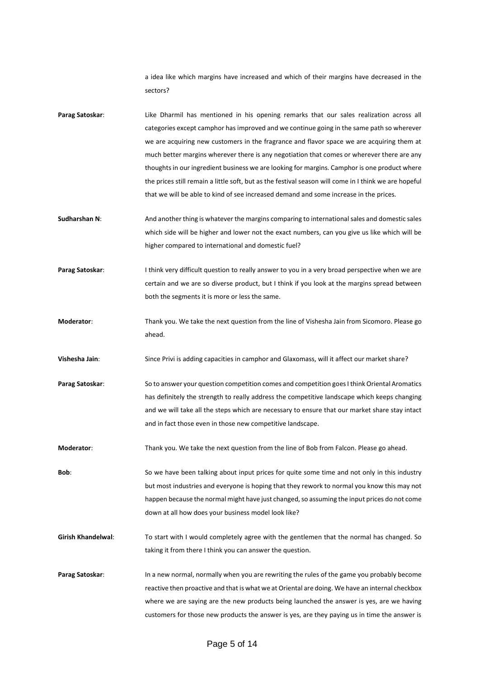a idea like which margins have increased and which of their margins have decreased in the sectors?

- **Parag Satoskar**: Like Dharmil has mentioned in his opening remarks that our sales realization across all categories except camphor has improved and we continue going in the same path so wherever we are acquiring new customers in the fragrance and flavor space we are acquiring them at much better margins wherever there is any negotiation that comes or wherever there are any thoughts in our ingredient business we are looking for margins. Camphor is one product where the prices still remain a little soft, but as the festival season will come in I think we are hopeful that we will be able to kind of see increased demand and some increase in the prices.
- **Sudharshan N:** And another thing is whatever the margins comparing to international sales and domestic sales which side will be higher and lower not the exact numbers, can you give us like which will be higher compared to international and domestic fuel?
- **Parag Satoskar:** I think very difficult question to really answer to you in a very broad perspective when we are certain and we are so diverse product, but I think if you look at the margins spread between both the segments it is more or less the same.
- **Moderator**: Thank you. We take the next question from the line of Vishesha Jain from Sicomoro. Please go ahead.
- **Vishesha Jain**: Since Privi is adding capacities in camphor and Glaxomass, will it affect our market share?
- **Parag Satoskar**: So to answer your question competition comes and competition goes I think Oriental Aromatics has definitely the strength to really address the competitive landscape which keeps changing and we will take all the steps which are necessary to ensure that our market share stay intact and in fact those even in those new competitive landscape.
- **Moderator**: Thank you. We take the next question from the line of Bob from Falcon. Please go ahead.
- **Bob**: So we have been talking about input prices for quite some time and not only in this industry but most industries and everyone is hoping that they rework to normal you know this may not happen because the normal might have just changed, so assuming the input prices do not come down at all how does your business model look like?
- **Girish Khandelwal:** To start with I would completely agree with the gentlemen that the normal has changed. So taking it from there I think you can answer the question.
- **Parag Satoskar**: In a new normal, normally when you are rewriting the rules of the game you probably become reactive then proactive and that is what we at Oriental are doing. We have an internal checkbox where we are saying are the new products being launched the answer is yes, are we having customers for those new products the answer is yes, are they paying us in time the answer is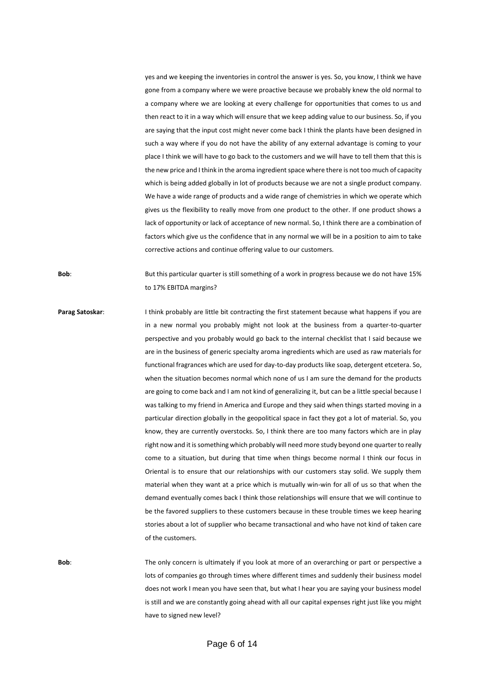yes and we keeping the inventories in control the answer is yes. So, you know, I think we have gone from a company where we were proactive because we probably knew the old normal to a company where we are looking at every challenge for opportunities that comes to us and then react to it in a way which will ensure that we keep adding value to our business. So, if you are saying that the input cost might never come back I think the plants have been designed in such a way where if you do not have the ability of any external advantage is coming to your place I think we will have to go back to the customers and we will have to tell them that this is the new price and I think in the aroma ingredient space where there is not too much of capacity which is being added globally in lot of products because we are not a single product company. We have a wide range of products and a wide range of chemistries in which we operate which gives us the flexibility to really move from one product to the other. If one product shows a lack of opportunity or lack of acceptance of new normal. So, I think there are a combination of factors which give us the confidence that in any normal we will be in a position to aim to take corrective actions and continue offering value to our customers.

**Bob**: But this particular quarter is still something of a work in progress because we do not have 15% to 17% EBITDA margins?

**Parag Satoskar:** I think probably are little bit contracting the first statement because what happens if you are in a new normal you probably might not look at the business from a quarter-to-quarter perspective and you probably would go back to the internal checklist that I said because we are in the business of generic specialty aroma ingredients which are used as raw materials for functional fragrances which are used for day-to-day products like soap, detergent etcetera. So, when the situation becomes normal which none of us I am sure the demand for the products are going to come back and I am not kind of generalizing it, but can be a little special because I was talking to my friend in America and Europe and they said when things started moving in a particular direction globally in the geopolitical space in fact they got a lot of material. So, you know, they are currently overstocks. So, I think there are too many factors which are in play right now and it is something which probably will need more study beyond one quarter to really come to a situation, but during that time when things become normal I think our focus in Oriental is to ensure that our relationships with our customers stay solid. We supply them material when they want at a price which is mutually win-win for all of us so that when the demand eventually comes back I think those relationships will ensure that we will continue to be the favored suppliers to these customers because in these trouble times we keep hearing stories about a lot of supplier who became transactional and who have not kind of taken care of the customers.

**Bob**: The only concern is ultimately if you look at more of an overarching or part or perspective a lots of companies go through times where different times and suddenly their business model does not work I mean you have seen that, but what I hear you are saying your business model is still and we are constantly going ahead with all our capital expenses right just like you might have to signed new level?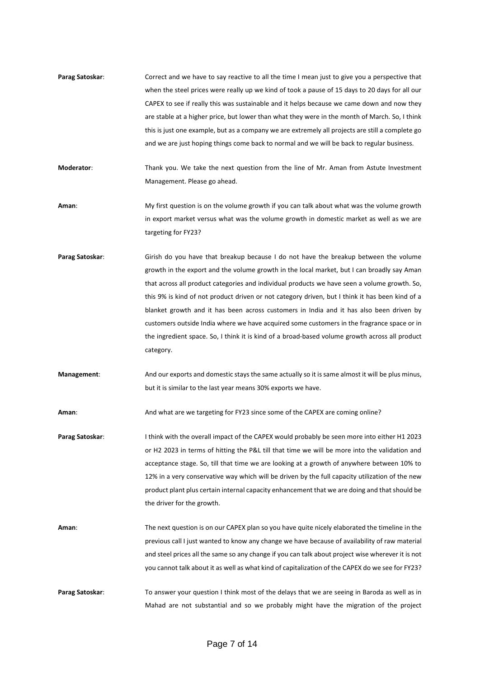- **Parag Satoskar:** Correct and we have to say reactive to all the time I mean just to give you a perspective that when the steel prices were really up we kind of took a pause of 15 days to 20 days for all our CAPEX to see if really this was sustainable and it helps because we came down and now they are stable at a higher price, but lower than what they were in the month of March. So, I think this is just one example, but as a company we are extremely all projects are still a complete go and we are just hoping things come back to normal and we will be back to regular business.
- **Moderator**: Thank you. We take the next question from the line of Mr. Aman from Astute Investment Management. Please go ahead.
- **Aman**: My first question is on the volume growth if you can talk about what was the volume growth in export market versus what was the volume growth in domestic market as well as we are targeting for FY23?
- **Parag Satoskar**: Girish do you have that breakup because I do not have the breakup between the volume growth in the export and the volume growth in the local market, but I can broadly say Aman that across all product categories and individual products we have seen a volume growth. So, this 9% is kind of not product driven or not category driven, but I think it has been kind of a blanket growth and it has been across customers in India and it has also been driven by customers outside India where we have acquired some customers in the fragrance space or in the ingredient space. So, I think it is kind of a broad-based volume growth across all product category.
- **Management**: And our exports and domestic stays the same actually so it is same almost it will be plus minus, but it is similar to the last year means 30% exports we have.

**Aman**: And what are we targeting for FY23 since some of the CAPEX are coming online?

- Parag Satoskar: I think with the overall impact of the CAPEX would probably be seen more into either H1 2023 or H2 2023 in terms of hitting the P&L till that time we will be more into the validation and acceptance stage. So, till that time we are looking at a growth of anywhere between 10% to 12% in a very conservative way which will be driven by the full capacity utilization of the new product plant plus certain internal capacity enhancement that we are doing and that should be the driver for the growth.
- **Aman**: The next question is on our CAPEX plan so you have quite nicely elaborated the timeline in the previous call I just wanted to know any change we have because of availability of raw material and steel prices all the same so any change if you can talk about project wise wherever it is not you cannot talk about it as well as what kind of capitalization of the CAPEX do we see for FY23?
- **Parag Satoskar:** To answer your question I think most of the delays that we are seeing in Baroda as well as in Mahad are not substantial and so we probably might have the migration of the project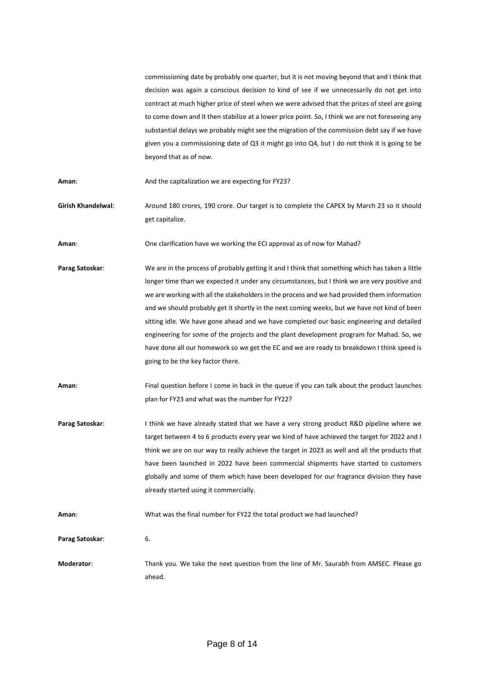commissioning date by probably one quarter, but it is not moving beyond that and I think that decision was again a conscious decision to kind of see if we unnecessarily do not get into contract at much higher price of steel when we were advised that the prices of steel are going to come down and it then stabilize at a lower price point. So, I think we are not foreseeing any substantial delays we probably might see the migration of the commission debt say if we have given you a commissioning date of Q3 it might go into Q4, but I do not think it is going to be beyond that as of now.

**Aman**: And the capitalization we are expecting for FY23?

**Girish Khandelwal**: Around 180 crores, 190 crore. Our target is to complete the CAPEX by March 23 so it should get capitalize.

**Aman**: One clarification have we working the ECI approval as of now for Mahad?

- **Parag Satoskar**: We are in the process of probably getting it and I think that something which has taken a little longer time than we expected it under any circumstances, but I think we are very positive and we are working with all the stakeholders in the process and we had provided them information and we should probably get it shortly in the next coming weeks, but we have not kind of been sitting idle. We have gone ahead and we have completed our basic engineering and detailed engineering for some of the projects and the plant development program for Mahad. So, we have done all our homework so we get the EC and we are ready to breakdown I think speed is going to be the key factor there.
- **Aman**: Final question before I come in back in the queue if you can talk about the product launches plan for FY23 and what was the number for FY22?
- **Parag Satoskar:** I think we have already stated that we have a very strong product R&D pipeline where we target between 4 to 6 products every year we kind of have achieved the target for 2022 and I think we are on our way to really achieve the target in 2023 as well and all the products that have been launched in 2022 have been commercial shipments have started to customers globally and some of them which have been developed for our fragrance division they have already started using it commercially.

**Aman**: What was the final number for FY22 the total product we had launched?

**Parag Satoskar**: 6.

**Moderator**: Thank you. We take the next question from the line of Mr. Saurabh from AMSEC. Please go ahead.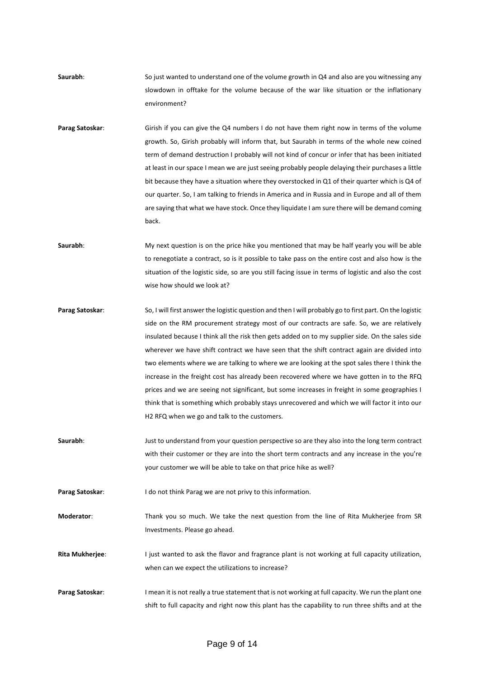- **Saurabh**: So just wanted to understand one of the volume growth in Q4 and also are you witnessing any slowdown in offtake for the volume because of the war like situation or the inflationary environment?
- **Parag Satoskar:** Girish if you can give the Q4 numbers I do not have them right now in terms of the volume growth. So, Girish probably will inform that, but Saurabh in terms of the whole new coined term of demand destruction I probably will not kind of concur or infer that has been initiated at least in our space I mean we are just seeing probably people delaying their purchases a little bit because they have a situation where they overstocked in Q1 of their quarter which is Q4 of our quarter. So, I am talking to friends in America and in Russia and in Europe and all of them are saying that what we have stock. Once they liquidate I am sure there will be demand coming back.
- **Saurabh**: My next question is on the price hike you mentioned that may be half yearly you will be able to renegotiate a contract, so is it possible to take pass on the entire cost and also how is the situation of the logistic side, so are you still facing issue in terms of logistic and also the cost wise how should we look at?
- **Parag Satoskar:** So, I will first answer the logistic question and then I will probably go to first part. On the logistic side on the RM procurement strategy most of our contracts are safe. So, we are relatively insulated because I think all the risk then gets added on to my supplier side. On the sales side wherever we have shift contract we have seen that the shift contract again are divided into two elements where we are talking to where we are looking at the spot sales there I think the increase in the freight cost has already been recovered where we have gotten in to the RFQ prices and we are seeing not significant, but some increases in freight in some geographies I think that is something which probably stays unrecovered and which we will factor it into our H2 RFQ when we go and talk to the customers.
- **Saurabh**: Just to understand from your question perspective so are they also into the long term contract with their customer or they are into the short term contracts and any increase in the you're your customer we will be able to take on that price hike as well?

**Parag Satoskar:** I do not think Parag we are not privy to this information.

**Moderator**: Thank you so much. We take the next question from the line of Rita Mukherjee from SR Investments. Please go ahead.

**Rita Mukherjee**: I just wanted to ask the flavor and fragrance plant is not working at full capacity utilization, when can we expect the utilizations to increase?

**Parag Satoskar:** I mean it is not really a true statement that is not working at full capacity. We run the plant one shift to full capacity and right now this plant has the capability to run three shifts and at the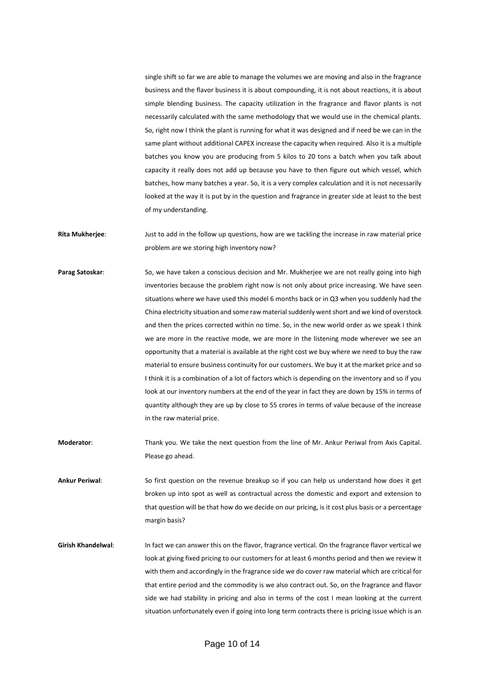single shift so far we are able to manage the volumes we are moving and also in the fragrance business and the flavor business it is about compounding, it is not about reactions, it is about simple blending business. The capacity utilization in the fragrance and flavor plants is not necessarily calculated with the same methodology that we would use in the chemical plants. So, right now I think the plant is running for what it was designed and if need be we can in the same plant without additional CAPEX increase the capacity when required. Also it is a multiple batches you know you are producing from 5 kilos to 20 tons a batch when you talk about capacity it really does not add up because you have to then figure out which vessel, which batches, how many batches a year. So, it is a very complex calculation and it is not necessarily looked at the way it is put by in the question and fragrance in greater side at least to the best of my understanding.

**Rita Mukherjee**: Just to add in the follow up questions, how are we tackling the increase in raw material price problem are we storing high inventory now?

- Parag Satoskar: So, we have taken a conscious decision and Mr. Mukherjee we are not really going into high inventories because the problem right now is not only about price increasing. We have seen situations where we have used this model 6 months back or in Q3 when you suddenly had the China electricity situation and some raw material suddenly went short and we kind of overstock and then the prices corrected within no time. So, in the new world order as we speak I think we are more in the reactive mode, we are more in the listening mode wherever we see an opportunity that a material is available at the right cost we buy where we need to buy the raw material to ensure business continuity for our customers. We buy it at the market price and so I think it is a combination of a lot of factors which is depending on the inventory and so if you look at our inventory numbers at the end of the year in fact they are down by 15% in terms of quantity although they are up by close to 55 crores in terms of value because of the increase in the raw material price.
- **Moderator**: Thank you. We take the next question from the line of Mr. Ankur Periwal from Axis Capital. Please go ahead.
- **Ankur Periwal**: So first question on the revenue breakup so if you can help us understand how does it get broken up into spot as well as contractual across the domestic and export and extension to that question will be that how do we decide on our pricing, is it cost plus basis or a percentage margin basis?
- Girish Khandelwal: In fact we can answer this on the flavor, fragrance vertical. On the fragrance flavor vertical we look at giving fixed pricing to our customers for at least 6 months period and then we review it with them and accordingly in the fragrance side we do cover raw material which are critical for that entire period and the commodity is we also contract out. So, on the fragrance and flavor side we had stability in pricing and also in terms of the cost I mean looking at the current situation unfortunately even if going into long term contracts there is pricing issue which is an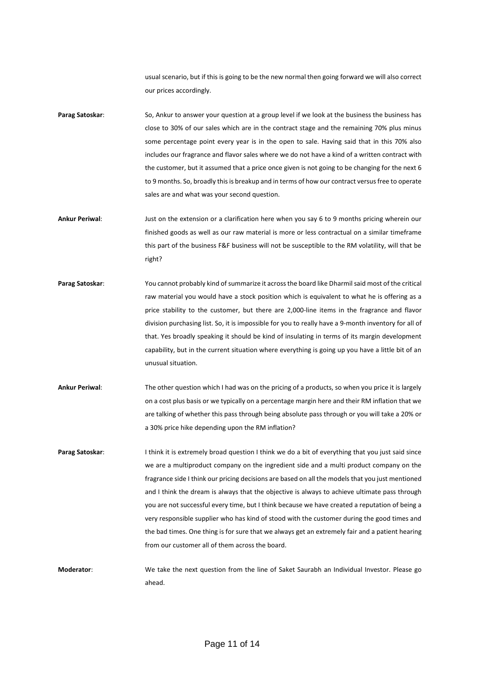usual scenario, but if this is going to be the new normal then going forward we will also correct our prices accordingly.

- **Parag Satoskar**: So, Ankur to answer your question at a group level if we look at the business the business has close to 30% of our sales which are in the contract stage and the remaining 70% plus minus some percentage point every year is in the open to sale. Having said that in this 70% also includes our fragrance and flavor sales where we do not have a kind of a written contract with the customer, but it assumed that a price once given is not going to be changing for the next 6 to 9 months. So, broadly this is breakup and in terms of how our contract versus free to operate sales are and what was your second question.
- **Ankur Periwal**: Just on the extension or a clarification here when you say 6 to 9 months pricing wherein our finished goods as well as our raw material is more or less contractual on a similar timeframe this part of the business F&F business will not be susceptible to the RM volatility, will that be right?
- **Parag Satoskar**: You cannot probably kind of summarize it across the board like Dharmil said most of the critical raw material you would have a stock position which is equivalent to what he is offering as a price stability to the customer, but there are 2,000-line items in the fragrance and flavor division purchasing list. So, it is impossible for you to really have a 9-month inventory for all of that. Yes broadly speaking it should be kind of insulating in terms of its margin development capability, but in the current situation where everything is going up you have a little bit of an unusual situation.
- **Ankur Periwal**: The other question which I had was on the pricing of a products, so when you price it is largely on a cost plus basis or we typically on a percentage margin here and their RM inflation that we are talking of whether this pass through being absolute pass through or you will take a 20% or a 30% price hike depending upon the RM inflation?
- Parag Satoskar: I think it is extremely broad question I think we do a bit of everything that you just said since we are a multiproduct company on the ingredient side and a multi product company on the fragrance side I think our pricing decisions are based on all the models that you just mentioned and I think the dream is always that the objective is always to achieve ultimate pass through you are not successful every time, but I think because we have created a reputation of being a very responsible supplier who has kind of stood with the customer during the good times and the bad times. One thing is for sure that we always get an extremely fair and a patient hearing from our customer all of them across the board.

**Moderator**: We take the next question from the line of Saket Saurabh an Individual Investor. Please go ahead.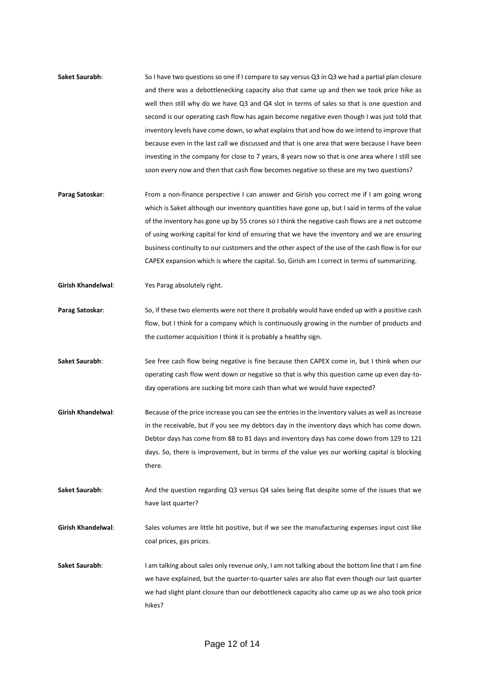- **Saket Saurabh:** So I have two questions so one if I compare to say versus Q3 in Q3 we had a partial plan closure and there was a debottlenecking capacity also that came up and then we took price hike as well then still why do we have Q3 and Q4 slot in terms of sales so that is one question and second is our operating cash flow has again become negative even though I was just told that inventory levels have come down, so what explains that and how do we intend to improve that because even in the last call we discussed and that is one area that were because I have been investing in the company for close to 7 years, 8 years now so that is one area where I still see soon every now and then that cash flow becomes negative so these are my two questions?
- **Parag Satoskar:** From a non-finance perspective I can answer and Girish you correct me if I am going wrong which is Saket although our inventory quantities have gone up, but I said in terms of the value of the inventory has gone up by 55 crores so I think the negative cash flows are a net outcome of using working capital for kind of ensuring that we have the inventory and we are ensuring business continuity to our customers and the other aspect of the use of the cash flow is for our CAPEX expansion which is where the capital. So, Girish am I correct in terms of summarizing.
- **Girish Khandelwal**: Yes Parag absolutely right.
- **Parag Satoskar**: So, if these two elements were not there it probably would have ended up with a positive cash flow, but I think for a company which is continuously growing in the number of products and the customer acquisition I think it is probably a healthy sign.
- Saket Saurabh: See free cash flow being negative is fine because then CAPEX come in, but I think when our operating cash flow went down or negative so that is why this question came up even day-today operations are sucking bit more cash than what we would have expected?
- **Girish Khandelwal**: Because of the price increase you can see the entries in the inventory values as well as increase in the receivable, but if you see my debtors day in the inventory days which has come down. Debtor days has come from 88 to 81 days and inventory days has come down from 129 to 121 days. So, there is improvement, but in terms of the value yes our working capital is blocking there.
- **Saket Saurabh**: And the question regarding Q3 versus Q4 sales being flat despite some of the issues that we have last quarter?
- **Girish Khandelwal**: Sales volumes are little bit positive, but if we see the manufacturing expenses input cost like coal prices, gas prices.
- Saket Saurabh: I am talking about sales only revenue only, I am not talking about the bottom line that I am fine we have explained, but the quarter-to-quarter sales are also flat even though our last quarter we had slight plant closure than our debottleneck capacity also came up as we also took price hikes?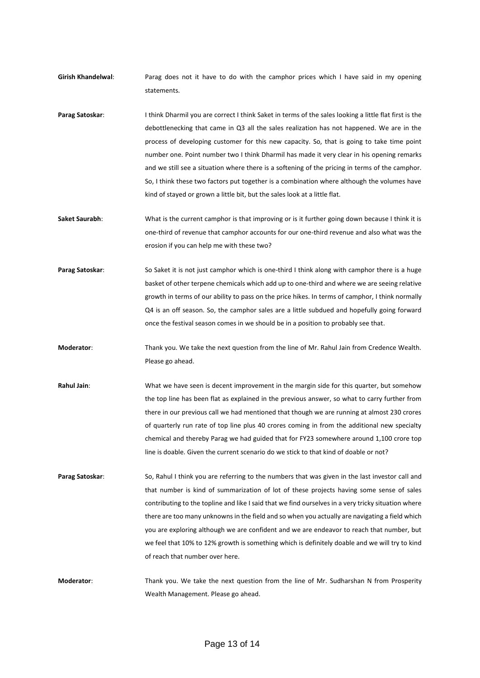- **Girish Khandelwal**: Parag does not it have to do with the camphor prices which I have said in my opening statements.
- Parag Satoskar: I think Dharmil you are correct I think Saket in terms of the sales looking a little flat first is the debottlenecking that came in Q3 all the sales realization has not happened. We are in the process of developing customer for this new capacity. So, that is going to take time point number one. Point number two I think Dharmil has made it very clear in his opening remarks and we still see a situation where there is a softening of the pricing in terms of the camphor. So, I think these two factors put together is a combination where although the volumes have kind of stayed or grown a little bit, but the sales look at a little flat.
- **Saket Saurabh:** What is the current camphor is that improving or is it further going down because I think it is one-third of revenue that camphor accounts for our one-third revenue and also what was the erosion if you can help me with these two?
- Parag Satoskar: So Saket it is not just camphor which is one-third I think along with camphor there is a huge basket of other terpene chemicals which add up to one-third and where we are seeing relative growth in terms of our ability to pass on the price hikes. In terms of camphor, I think normally Q4 is an off season. So, the camphor sales are a little subdued and hopefully going forward once the festival season comes in we should be in a position to probably see that.
- **Moderator**: Thank you. We take the next question from the line of Mr. Rahul Jain from Credence Wealth. Please go ahead.
- **Rahul Jain**: What we have seen is decent improvement in the margin side for this quarter, but somehow the top line has been flat as explained in the previous answer, so what to carry further from there in our previous call we had mentioned that though we are running at almost 230 crores of quarterly run rate of top line plus 40 crores coming in from the additional new specialty chemical and thereby Parag we had guided that for FY23 somewhere around 1,100 crore top line is doable. Given the current scenario do we stick to that kind of doable or not?
- **Parag Satoskar**: So, Rahul I think you are referring to the numbers that was given in the last investor call and that number is kind of summarization of lot of these projects having some sense of sales contributing to the topline and like I said that we find ourselves in a very tricky situation where there are too many unknowns in the field and so when you actually are navigating a field which you are exploring although we are confident and we are endeavor to reach that number, but we feel that 10% to 12% growth is something which is definitely doable and we will try to kind of reach that number over here.
- **Moderator**: Thank you. We take the next question from the line of Mr. Sudharshan N from Prosperity Wealth Management. Please go ahead.